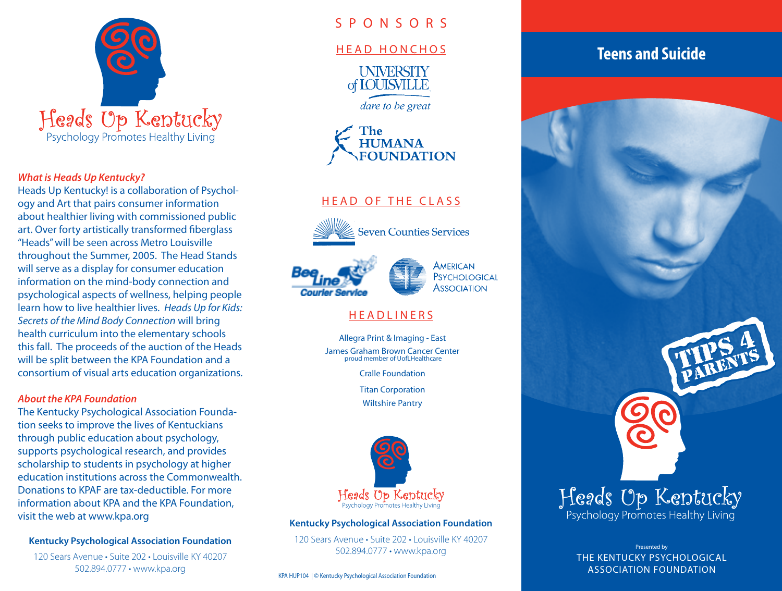

### *What is Heads Up Kentucky?*

Heads Up Kentucky! is a collaboration of Psychology and Art that pairs consumer information about healthier living with commissioned public art. Over forty artistically transformed fiberglass "Heads" will be seen across Metro Louisville throughout the Summer, 2005. The Head Stands will serve as a display for consumer education information on the mind-body connection and psychological aspects of wellness, helping people learn how to live healthier lives. *Heads Up for Kids: Secrets of the Mind Body Connection* will bring health curriculum into the elementary schools this fall. The proceeds of the auction of the Heads will be split between the KPA Foundation and a consortium of visual arts education organizations.

### *About the KPA Foundation*

The Kentucky Psychological Association Foundation seeks to improve the lives of Kentuckians through public education about psychology, supports psychological research, and provides scholarship to students in psychology at higher education institutions across the Commonwealth. Donations to KPAF are tax-deductible. For more information about KPA and the KPA Foundation, visit the web at www.kpa.org

### **Kentucky Psychological Association Foundation**

120 Sears Avenue • Suite 202 • Louisville KY 40207 502.894.0777 • www.kpa.org

# S P O N S O R S

### HEAD HONCHOS

**UNIVERSITY** of **IOUISVILLE** 

dare to be great



# HEAD OF THE CLASS



**Seven Counties Services** 





# **HEADLINERS**

Allegra Print & Imaging - East James Graham Brown Cancer Center proud member of UofLHealthcare

Cralle Foundation

Titan Corporation

Wiltshire Pantry



#### **Kentucky Psychological Association Foundation**

120 Sears Avenue • Suite 202 • Louisville KY 40207 502.894.0777 • www.kpa.org

KPA HUP104 | © Kentucky Psychological Association Foundation

# **Teens and Suicide**



Presented by THE KENTUCKY PSYCHOLOGICAL ASSOCIATION FOUNDATION